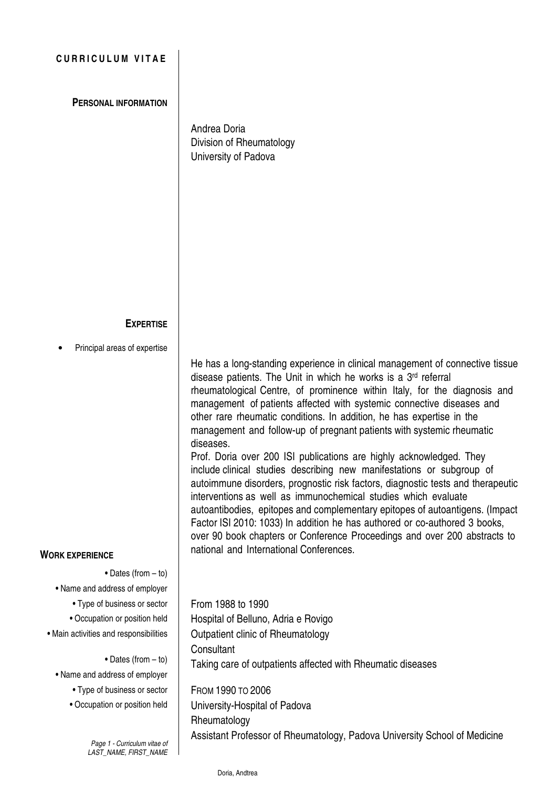## **CURRICULUM VITAE**

**PERSONAL INFORMATION**

Andrea Doria Division of Rheumatology University of Padova

## **EXPERTISE**

• Principal areas of expertise

**WORK EXPERIENCE**

**•** Dates (from – to)

**•** Name and address of employer

**•** Type of business or sector

**•** Occupation or position held

**•** Main activities and responsibilities

**•** Dates (from – to)

**•** Name and address of employer

**•** Type of business or sector

**•** Occupation or position held

Page 1 - Curriculum vitae of LAST\_NAME, FIRST\_NAME He has a long-standing experience in clinical management of connective tissue disease patients. The Unit in which he works is a 3 rd referral rheumatological Centre, of prominence within Italy, for the diagnosis and management of patients affected with systemic connective diseases and other rare rheumatic conditions. In addition, he has expertise in the management and follow-up of pregnant patients with systemic rheumatic diseases. Prof. Doria over 200 ISI publications are highly acknowledged. They

include clinical studies describing new manifestations or subgroup of autoimmune disorders, prognostic risk factors, diagnostic tests and therapeutic interventions as well as immunochemical studies which evaluate autoantibodies, epitopes and complementary epitopes of autoantigens. (Impact Factor ISI 2010: 1033) In addition he has authored or co-authored 3 books, over 90 book chapters or Conference Proceedings and over 200 abstracts to national and International Conferences.

From 1988 to 1990 Hospital of Belluno, Adria e Rovigo Outpatient clinic of Rheumatology **Consultant** Taking care of outpatients affected with Rheumatic diseases

FROM 1990 TO 2006 University-Hospital of Padova Rheumatology Assistant Professor of Rheumatology, Padova University School of Medicine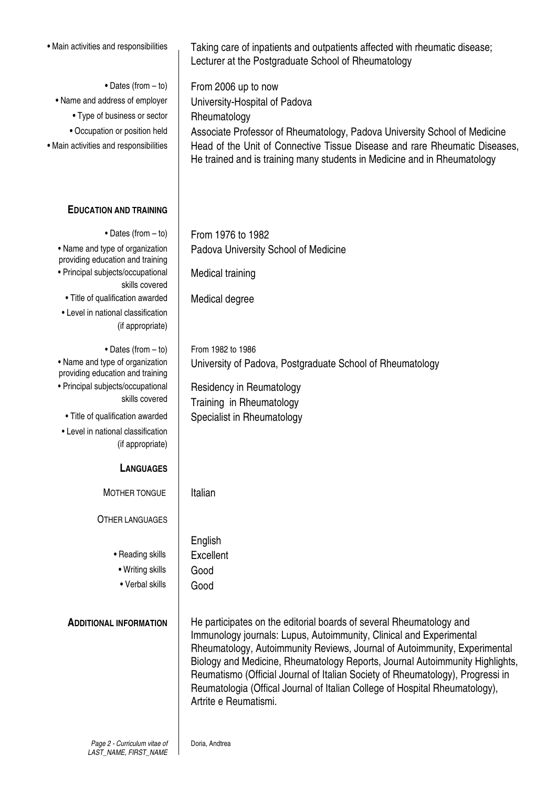| · Main activities and responsibilities                              | Taking care of inpatients and outpatients affected with rheumatic disease;<br>Lecturer at the Postgraduate School of Rheumatology                                                                                                                                                                                                                                                                                                                                                                 |
|---------------------------------------------------------------------|---------------------------------------------------------------------------------------------------------------------------------------------------------------------------------------------------------------------------------------------------------------------------------------------------------------------------------------------------------------------------------------------------------------------------------------------------------------------------------------------------|
| • Dates (from - to)                                                 | From 2006 up to now                                                                                                                                                                                                                                                                                                                                                                                                                                                                               |
| • Name and address of employer                                      | University-Hospital of Padova                                                                                                                                                                                                                                                                                                                                                                                                                                                                     |
| • Type of business or sector                                        | Rheumatology                                                                                                                                                                                                                                                                                                                                                                                                                                                                                      |
| • Occupation or position held                                       | Associate Professor of Rheumatology, Padova University School of Medicine                                                                                                                                                                                                                                                                                                                                                                                                                         |
| · Main activities and responsibilities                              | Head of the Unit of Connective Tissue Disease and rare Rheumatic Diseases,<br>He trained and is training many students in Medicine and in Rheumatology                                                                                                                                                                                                                                                                                                                                            |
| <b>EDUCATION AND TRAINING</b>                                       |                                                                                                                                                                                                                                                                                                                                                                                                                                                                                                   |
| • Dates (from $-$ to)                                               | From 1976 to 1982                                                                                                                                                                                                                                                                                                                                                                                                                                                                                 |
| • Name and type of organization<br>providing education and training | Padova University School of Medicine                                                                                                                                                                                                                                                                                                                                                                                                                                                              |
| • Principal subjects/occupational<br>skills covered                 | Medical training                                                                                                                                                                                                                                                                                                                                                                                                                                                                                  |
| • Title of qualification awarded                                    | Medical degree                                                                                                                                                                                                                                                                                                                                                                                                                                                                                    |
| • Level in national classification<br>(if appropriate)              |                                                                                                                                                                                                                                                                                                                                                                                                                                                                                                   |
| • Dates (from $-$ to)                                               | From 1982 to 1986                                                                                                                                                                                                                                                                                                                                                                                                                                                                                 |
| • Name and type of organization<br>providing education and training | University of Padova, Postgraduate School of Rheumatology                                                                                                                                                                                                                                                                                                                                                                                                                                         |
| • Principal subjects/occupational                                   | Residency in Reumatology                                                                                                                                                                                                                                                                                                                                                                                                                                                                          |
| skills covered                                                      | Training in Rheumatology                                                                                                                                                                                                                                                                                                                                                                                                                                                                          |
| • Title of qualification awarded                                    | Specialist in Rheumatology                                                                                                                                                                                                                                                                                                                                                                                                                                                                        |
| • Level in national classification                                  |                                                                                                                                                                                                                                                                                                                                                                                                                                                                                                   |
| (if appropriate)                                                    |                                                                                                                                                                                                                                                                                                                                                                                                                                                                                                   |
| <b>LANGUAGES</b>                                                    |                                                                                                                                                                                                                                                                                                                                                                                                                                                                                                   |
| MOTHER TONGUE                                                       | Italian                                                                                                                                                                                                                                                                                                                                                                                                                                                                                           |
| <b>OTHER LANGUAGES</b>                                              |                                                                                                                                                                                                                                                                                                                                                                                                                                                                                                   |
|                                                                     | English                                                                                                                                                                                                                                                                                                                                                                                                                                                                                           |
| • Reading skills                                                    | Excellent                                                                                                                                                                                                                                                                                                                                                                                                                                                                                         |
| • Writing skills                                                    | Good                                                                                                                                                                                                                                                                                                                                                                                                                                                                                              |
| • Verbal skills                                                     | Good                                                                                                                                                                                                                                                                                                                                                                                                                                                                                              |
| <b>ADDITIONAL INFORMATION</b>                                       | He participates on the editorial boards of several Rheumatology and<br>Immunology journals: Lupus, Autoimmunity, Clinical and Experimental<br>Rheumatology, Autoimmunity Reviews, Journal of Autoimmunity, Experimental<br>Biology and Medicine, Rheumatology Reports, Journal Autoimmunity Highlights,<br>Reumatismo (Official Journal of Italian Society of Rheumatology), Progressi in<br>Reumatologia (Offical Journal of Italian College of Hospital Rheumatology),<br>Artrite e Reumatismi. |
|                                                                     |                                                                                                                                                                                                                                                                                                                                                                                                                                                                                                   |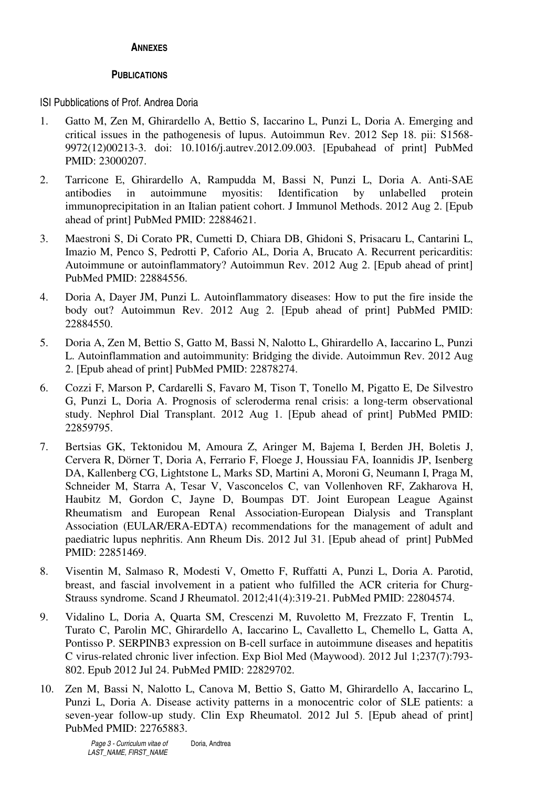## **ANNEXES**

## **PUBLICATIONS**

ISI Pubblications of Prof. Andrea Doria

- 1. Gatto M, Zen M, Ghirardello A, Bettio S, Iaccarino L, Punzi L, Doria A. Emerging and critical issues in the pathogenesis of lupus. Autoimmun Rev. 2012 Sep 18. pii: S1568- 9972(12)00213-3. doi: 10.1016/j.autrev.2012.09.003. [Epubahead of print] PubMed PMID: 23000207.
- 2. Tarricone E, Ghirardello A, Rampudda M, Bassi N, Punzi L, Doria A. Anti-SAE antibodies in autoimmune myositis: Identification by unlabelled protein immunoprecipitation in an Italian patient cohort. J Immunol Methods. 2012 Aug 2. [Epub ahead of print] PubMed PMID: 22884621.
- 3. Maestroni S, Di Corato PR, Cumetti D, Chiara DB, Ghidoni S, Prisacaru L, Cantarini L, Imazio M, Penco S, Pedrotti P, Caforio AL, Doria A, Brucato A. Recurrent pericarditis: Autoimmune or autoinflammatory? Autoimmun Rev. 2012 Aug 2. [Epub ahead of print] PubMed PMID: 22884556.
- 4. Doria A, Dayer JM, Punzi L. Autoinflammatory diseases: How to put the fire inside the body out? Autoimmun Rev. 2012 Aug 2. [Epub ahead of print] PubMed PMID: 22884550.
- 5. Doria A, Zen M, Bettio S, Gatto M, Bassi N, Nalotto L, Ghirardello A, Iaccarino L, Punzi L. Autoinflammation and autoimmunity: Bridging the divide. Autoimmun Rev. 2012 Aug 2. [Epub ahead of print] PubMed PMID: 22878274.
- 6. Cozzi F, Marson P, Cardarelli S, Favaro M, Tison T, Tonello M, Pigatto E, De Silvestro G, Punzi L, Doria A. Prognosis of scleroderma renal crisis: a long-term observational study. Nephrol Dial Transplant. 2012 Aug 1. [Epub ahead of print] PubMed PMID: 22859795.
- 7. Bertsias GK, Tektonidou M, Amoura Z, Aringer M, Bajema I, Berden JH, Boletis J, Cervera R, Dörner T, Doria A, Ferrario F, Floege J, Houssiau FA, Ioannidis JP, Isenberg DA, Kallenberg CG, Lightstone L, Marks SD, Martini A, Moroni G, Neumann I, Praga M, Schneider M, Starra A, Tesar V, Vasconcelos C, van Vollenhoven RF, Zakharova H, Haubitz M, Gordon C, Jayne D, Boumpas DT. Joint European League Against Rheumatism and European Renal Association-European Dialysis and Transplant Association (EULAR/ERA-EDTA) recommendations for the management of adult and paediatric lupus nephritis. Ann Rheum Dis. 2012 Jul 31. [Epub ahead of print] PubMed PMID: 22851469.
- 8. Visentin M, Salmaso R, Modesti V, Ometto F, Ruffatti A, Punzi L, Doria A. Parotid, breast, and fascial involvement in a patient who fulfilled the ACR criteria for Churg-Strauss syndrome. Scand J Rheumatol. 2012;41(4):319-21. PubMed PMID: 22804574.
- 9. Vidalino L, Doria A, Quarta SM, Crescenzi M, Ruvoletto M, Frezzato F, Trentin L, Turato C, Parolin MC, Ghirardello A, Iaccarino L, Cavalletto L, Chemello L, Gatta A, Pontisso P. SERPINB3 expression on B-cell surface in autoimmune diseases and hepatitis C virus-related chronic liver infection. Exp Biol Med (Maywood). 2012 Jul 1;237(7):793- 802. Epub 2012 Jul 24. PubMed PMID: 22829702.
- 10. Zen M, Bassi N, Nalotto L, Canova M, Bettio S, Gatto M, Ghirardello A, Iaccarino L, Punzi L, Doria A. Disease activity patterns in a monocentric color of SLE patients: a seven-year follow-up study. Clin Exp Rheumatol. 2012 Jul 5. [Epub ahead of print] PubMed PMID: 22765883.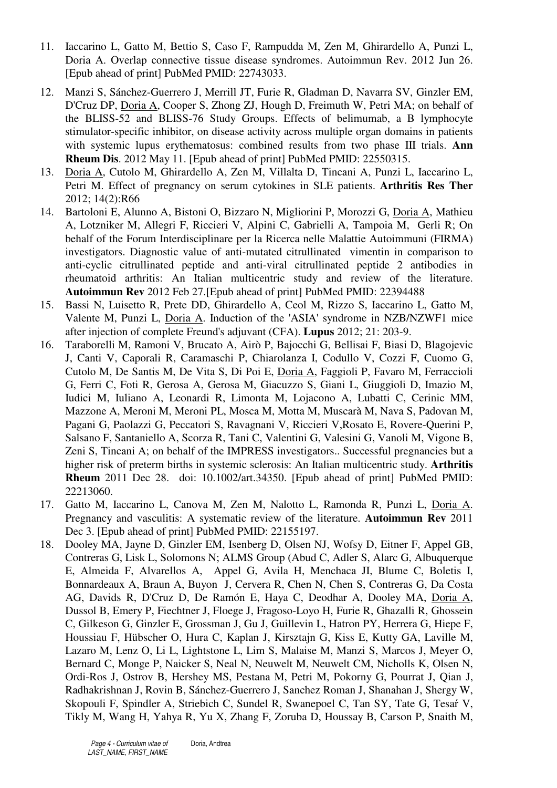- 11. Iaccarino L, Gatto M, Bettio S, Caso F, Rampudda M, Zen M, Ghirardello A, Punzi L, Doria A. Overlap connective tissue disease syndromes. Autoimmun Rev. 2012 Jun 26. [Epub ahead of print] PubMed PMID: 22743033.
- 12. Manzi S, Sánchez-Guerrero J, Merrill JT, Furie R, Gladman D, Navarra SV, Ginzler EM, D'Cruz DP, Doria A, Cooper S, Zhong ZJ, Hough D, Freimuth W, Petri MA; on behalf of the BLISS-52 and BLISS-76 Study Groups. Effects of belimumab, a B lymphocyte stimulator-specific inhibitor, on disease activity across multiple organ domains in patients with systemic lupus erythematosus: combined results from two phase III trials. **Ann Rheum Dis**. 2012 May 11. [Epub ahead of print] PubMed PMID: 22550315.
- 13. Doria A, Cutolo M, Ghirardello A, Zen M, Villalta D, Tincani A, Punzi L, Iaccarino L, Petri M. Effect of pregnancy on serum cytokines in SLE patients. **Arthritis Res Ther** 2012; 14(2):R66
- 14. Bartoloni E, Alunno A, Bistoni O, Bizzaro N, Migliorini P, Morozzi G, Doria A, Mathieu A, Lotzniker M, Allegri F, Riccieri V, Alpini C, Gabrielli A, Tampoia M, Gerli R; On behalf of the Forum Interdisciplinare per la Ricerca nelle Malattie Autoimmuni (FIRMA) investigators. Diagnostic value of anti-mutated citrullinated vimentin in comparison to anti-cyclic citrullinated peptide and anti-viral citrullinated peptide 2 antibodies in rheumatoid arthritis: An Italian multicentric study and review of the literature. **Autoimmun Rev** 2012 Feb 27.[Epub ahead of print] PubMed PMID: 22394488
- 15. Bassi N, Luisetto R, Prete DD, Ghirardello A, Ceol M, Rizzo S, Iaccarino L, Gatto M, Valente M, Punzi L, Doria A. Induction of the 'ASIA' syndrome in NZB/NZWF1 mice after injection of complete Freund's adjuvant (CFA). **Lupus** 2012; 21: 203-9.
- 16. Taraborelli M, Ramoni V, Brucato A, Airò P, Bajocchi G, Bellisai F, Biasi D, Blagojevic J, Canti V, Caporali R, Caramaschi P, Chiarolanza I, Codullo V, Cozzi F, Cuomo G, Cutolo M, De Santis M, De Vita S, Di Poi E, Doria A, Faggioli P, Favaro M, Ferraccioli G, Ferri C, Foti R, Gerosa A, Gerosa M, Giacuzzo S, Giani L, Giuggioli D, Imazio M, Iudici M, Iuliano A, Leonardi R, Limonta M, Lojacono A, Lubatti C, Cerinic MM, Mazzone A, Meroni M, Meroni PL, Mosca M, Motta M, Muscarà M, Nava S, Padovan M, Pagani G, Paolazzi G, Peccatori S, Ravagnani V, Riccieri V,Rosato E, Rovere-Querini P, Salsano F, Santaniello A, Scorza R, Tani C, Valentini G, Valesini G, Vanoli M, Vigone B, Zeni S, Tincani A; on behalf of the IMPRESS investigators.. Successful pregnancies but a higher risk of preterm births in systemic sclerosis: An Italian multicentric study. **Arthritis Rheum** 2011 Dec 28. doi: 10.1002/art.34350. [Epub ahead of print] PubMed PMID: 22213060.
- 17. Gatto M, Iaccarino L, Canova M, Zen M, Nalotto L, Ramonda R, Punzi L, Doria A. Pregnancy and vasculitis: A systematic review of the literature. **Autoimmun Rev** 2011 Dec 3. [Epub ahead of print] PubMed PMID: 22155197.
- 18. Dooley MA, Jayne D, Ginzler EM, Isenberg D, Olsen NJ, Wofsy D, Eitner F, Appel GB, Contreras G, Lisk L, Solomons N; ALMS Group (Abud C, Adler S, Alarc G, Albuquerque E, Almeida F, Alvarellos A, Appel G, Avila H, Menchaca JI, Blume C, Boletis I, Bonnardeaux A, Braun A, Buyon J, Cervera R, Chen N, Chen S, Contreras G, Da Costa AG, Davids R, D'Cruz D, De Ramón E, Haya C, Deodhar A, Dooley MA, Doria A, Dussol B, Emery P, Fiechtner J, Floege J, Fragoso-Loyo H, Furie R, Ghazalli R, Ghossein C, Gilkeson G, Ginzler E, Grossman J, Gu J, Guillevin L, Hatron PY, Herrera G, Hiepe F, Houssiau F, Hübscher O, Hura C, Kaplan J, Kirsztajn G, Kiss E, Kutty GA, Laville M, Lazaro M, Lenz O, Li L, Lightstone L, Lim S, Malaise M, Manzi S, Marcos J, Meyer O, Bernard C, Monge P, Naicker S, Neal N, Neuwelt M, Neuwelt CM, Nicholls K, Olsen N, Ordi-Ros J, Ostrov B, Hershey MS, Pestana M, Petri M, Pokorny G, Pourrat J, Qian J, Radhakrishnan J, Rovin B, Sánchez-Guerrero J, Sanchez Roman J, Shanahan J, Shergy W, Skopouli F, Spindler A, Striebich C, Sundel R, Swanepoel C, Tan SY, Tate G, Tesaŕ V, Tikly M, Wang H, Yahya R, Yu X, Zhang F, Zoruba D, Houssay B, Carson P, Snaith M,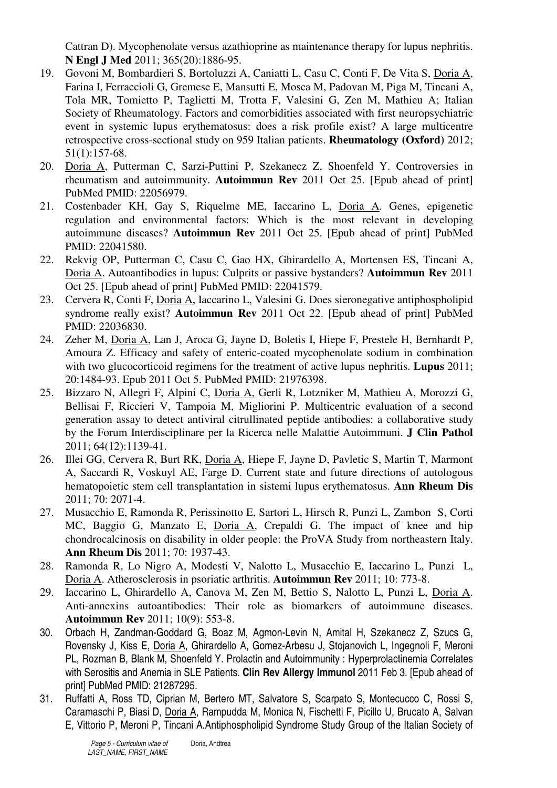Cattran D). Mycophenolate versus azathioprine as maintenance therapy for lupus nephritis. **N Engl J Med** 2011; 365(20):1886-95.

- 19. Govoni M, Bombardieri S, Bortoluzzi A, Caniatti L, Casu C, Conti F, De Vita S, Doria A, Farina I, Ferraccioli G, Gremese E, Mansutti E, Mosca M, Padovan M, Piga M, Tincani A, Tola MR, Tomietto P, Taglietti M, Trotta F, Valesini G, Zen M, Mathieu A; Italian Society of Rheumatology. Factors and comorbidities associated with first neuropsychiatric event in systemic lupus erythematosus: does a risk profile exist? A large multicentre retrospective cross-sectional study on 959 Italian patients. **Rheumatology (Oxford)** 2012; 51(1):157-68.
- 20. Doria A, Putterman C, Sarzi-Puttini P, Szekanecz Z, Shoenfeld Y. Controversies in rheumatism and autoimmunity. **Autoimmun Rev** 2011 Oct 25. [Epub ahead of print] PubMed PMID: 22056979.
- 21. Costenbader KH, Gay S, Riquelme ME, Iaccarino L, Doria A. Genes, epigenetic regulation and environmental factors: Which is the most relevant in developing autoimmune diseases? **Autoimmun Rev** 2011 Oct 25. [Epub ahead of print] PubMed PMID: 22041580.
- 22. Rekvig OP, Putterman C, Casu C, Gao HX, Ghirardello A, Mortensen ES, Tincani A, Doria A. Autoantibodies in lupus: Culprits or passive bystanders? **Autoimmun Rev** 2011 Oct 25. [Epub ahead of print] PubMed PMID: 22041579.
- 23. Cervera R, Conti F, Doria A, Iaccarino L, Valesini G. Does sieronegative antiphospholipid syndrome really exist? **Autoimmun Rev** 2011 Oct 22. [Epub ahead of print] PubMed PMID: 22036830.
- 24. Zeher M, Doria A, Lan J, Aroca G, Jayne D, Boletis I, Hiepe F, Prestele H, Bernhardt P, Amoura Z. Efficacy and safety of enteric-coated mycophenolate sodium in combination with two glucocorticoid regimens for the treatment of active lupus nephritis. **Lupus** 2011; 20:1484-93. Epub 2011 Oct 5. PubMed PMID: 21976398.
- 25. Bizzaro N, Allegri F, Alpini C, Doria A, Gerli R, Lotzniker M, Mathieu A, Morozzi G, Bellisai F, Riccieri V, Tampoia M, Migliorini P. Multicentric evaluation of a second generation assay to detect antiviral citrullinated peptide antibodies: a collaborative study by the Forum Interdisciplinare per la Ricerca nelle Malattie Autoimmuni. **J Clin Pathol** 2011; 64(12):1139-41.
- 26. Illei GG, Cervera R, Burt RK, Doria A, Hiepe F, Jayne D, Pavletic S, Martin T, Marmont A, Saccardi R, Voskuyl AE, Farge D. Current state and future directions of autologous hematopoietic stem cell transplantation in sistemi lupus erythematosus. **Ann Rheum Dis** 2011; 70: 2071-4.
- 27. Musacchio E, Ramonda R, Perissinotto E, Sartori L, Hirsch R, Punzi L, Zambon S, Corti MC, Baggio G, Manzato E, Doria A, Crepaldi G. The impact of knee and hip chondrocalcinosis on disability in older people: the ProVA Study from northeastern Italy. **Ann Rheum Dis** 2011; 70: 1937-43.
- 28. Ramonda R, Lo Nigro A, Modesti V, Nalotto L, Musacchio E, Iaccarino L, Punzi L, Doria A. Atherosclerosis in psoriatic arthritis. **Autoimmun Rev** 2011; 10: 773-8.
- 29. Iaccarino L, Ghirardello A, Canova M, Zen M, Bettio S, Nalotto L, Punzi L, Doria A. Anti-annexins autoantibodies: Their role as biomarkers of autoimmune diseases. **Autoimmun Rev** 2011; 10(9): 553-8.
- 30. Orbach H, Zandman-Goddard G, Boaz M, Agmon-Levin N, Amital H, Szekanecz Z, Szucs G, Rovensky J, Kiss E, Doria A, Ghirardello A, Gomez-Arbesu J, Stojanovich L, Ingegnoli F, Meroni PL, Rozman B, Blank M, Shoenfeld Y. Prolactin and Autoimmunity : Hyperprolactinemia Correlates with Serositis and Anemia in SLE Patients. **Clin Rev Allergy Immunol** 2011 Feb 3. [Epub ahead of print] PubMed PMID: 21287295.
- 31. Ruffatti A, Ross TD, Ciprian M, Bertero MT, Salvatore S, Scarpato S, Montecucco C, Rossi S, Caramaschi P, Biasi D, Doria A, Rampudda M, Monica N, Fischetti F, Picillo U, Brucato A, Salvan E, Vittorio P, Meroni P, Tincani A.Antiphospholipid Syndrome Study Group of the Italian Society of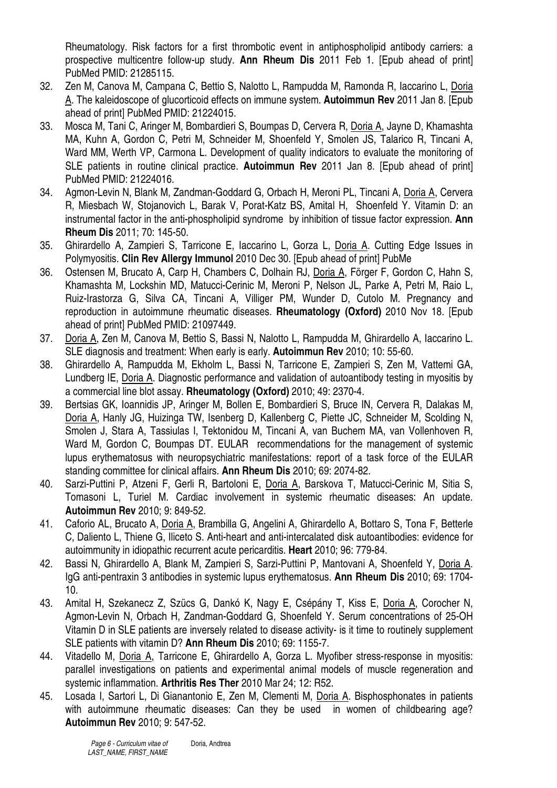Rheumatology. Risk factors for a first thrombotic event in antiphospholipid antibody carriers: a prospective multicentre follow-up study. **Ann Rheum Dis** 2011 Feb 1. [Epub ahead of print] PubMed PMID: 21285115.

- 32. Zen M, Canova M, Campana C, Bettio S, Nalotto L, Rampudda M, Ramonda R, Iaccarino L, Doria A. The kaleidoscope of glucorticoid effects on immune system. **Autoimmun Rev** 2011 Jan 8. [Epub ahead of print] PubMed PMID: 21224015.
- 33. Mosca M, Tani C, Aringer M, Bombardieri S, Boumpas D, Cervera R, Doria A, Jayne D, Khamashta MA, Kuhn A, Gordon C, Petri M, Schneider M, Shoenfeld Y, Smolen JS, Talarico R, Tincani A, Ward MM, Werth VP, Carmona L. Development of quality indicators to evaluate the monitoring of SLE patients in routine clinical practice. **Autoimmun Rev** 2011 Jan 8. [Epub ahead of print] PubMed PMID: 21224016.
- 34. Agmon-Levin N, Blank M, Zandman-Goddard G, Orbach H, Meroni PL, Tincani A, Doria A, Cervera R, Miesbach W, Stojanovich L, Barak V, Porat-Katz BS, Amital H, Shoenfeld Y. Vitamin D: an instrumental factor in the anti-phospholipid syndrome by inhibition of tissue factor expression. **Ann Rheum Dis** 2011; 70: 145-50.
- 35. Ghirardello A, Zampieri S, Tarricone E, Iaccarino L, Gorza L, Doria A. Cutting Edge Issues in Polymyositis. **Clin Rev Allergy Immunol** 2010 Dec 30. [Epub ahead of print] PubMe
- 36. Ostensen M, Brucato A, Carp H, Chambers C, Dolhain RJ, Doria A, Förger F, Gordon C, Hahn S, Khamashta M, Lockshin MD, Matucci-Cerinic M, Meroni P, Nelson JL, Parke A, Petri M, Raio L, Ruiz-Irastorza G, Silva CA, Tincani A, Villiger PM, Wunder D, Cutolo M. Pregnancy and reproduction in autoimmune rheumatic diseases. **Rheumatology (Oxford)** 2010 Nov 18. [Epub ahead of print] PubMed PMID: 21097449.
- 37. Doria A, Zen M, Canova M, Bettio S, Bassi N, Nalotto L, Rampudda M, Ghirardello A, Iaccarino L. SLE diagnosis and treatment: When early is early. **Autoimmun Rev** 2010; 10: 55-60.
- 38. Ghirardello A, Rampudda M, Ekholm L, Bassi N, Tarricone E, Zampieri S, Zen M, Vattemi GA, Lundberg IE, Doria A. Diagnostic performance and validation of autoantibody testing in myositis by a commercial line blot assay. **Rheumatology (Oxford)** 2010; 49: 2370-4.
- 39. Bertsias GK, Ioannidis JP, Aringer M, Bollen E, Bombardieri S, Bruce IN, Cervera R, Dalakas M, Doria A, Hanly JG, Huizinga TW, Isenberg D, Kallenberg C, Piette JC, Schneider M, Scolding N, Smolen J, Stara A, Tassiulas I, Tektonidou M, Tincani A, van Buchem MA, van Vollenhoven R, Ward M, Gordon C, Boumpas DT. EULAR recommendations for the management of systemic lupus erythematosus with neuropsychiatric manifestations: report of a task force of the EULAR standing committee for clinical affairs. **Ann Rheum Dis** 2010; 69: 2074-82.
- 40. Sarzi-Puttini P, Atzeni F, Gerli R, Bartoloni E, Doria A, Barskova T, Matucci-Cerinic M, Sitia S, Tomasoni L, Turiel M. Cardiac involvement in systemic rheumatic diseases: An update. **Autoimmun Rev** 2010; 9: 849-52.
- 41. Caforio AL, Brucato A, Doria A, Brambilla G, Angelini A, Ghirardello A, Bottaro S, Tona F, Betterle C, Daliento L, Thiene G, Iliceto S. Anti-heart and anti-intercalated disk autoantibodies: evidence for autoimmunity in idiopathic recurrent acute pericarditis. **Heart** 2010; 96: 779-84.
- 42. Bassi N, Ghirardello A, Blank M, Zampieri S, Sarzi-Puttini P, Mantovani A, Shoenfeld Y, Doria A. IgG anti-pentraxin 3 antibodies in systemic lupus erythematosus. **Ann Rheum Dis** 2010; 69: 1704- 10.
- 43. Amital H, Szekanecz Z, Szücs G, Dankó K, Nagy E, Csépány T, Kiss E, Doria A, Corocher N, Agmon-Levin N, Orbach H, Zandman-Goddard G, Shoenfeld Y. Serum concentrations of 25-OH Vitamin D in SLE patients are inversely related to disease activity- is it time to routinely supplement SLE patients with vitamin D? **Ann Rheum Dis** 2010; 69: 1155-7.
- 44. Vitadello M, Doria A, Tarricone E, Ghirardello A, Gorza L. Myofiber stress-response in myositis: parallel investigations on patients and experimental animal models of muscle regeneration and systemic inflammation. **Arthritis Res Ther** 2010 Mar 24; 12: R52.
- 45. Losada I, Sartori L, Di Gianantonio E, Zen M, Clementi M, Doria A. Bisphosphonates in patients with autoimmune rheumatic diseases: Can they be used in women of childbearing age? **Autoimmun Rev** 2010; 9: 547-52.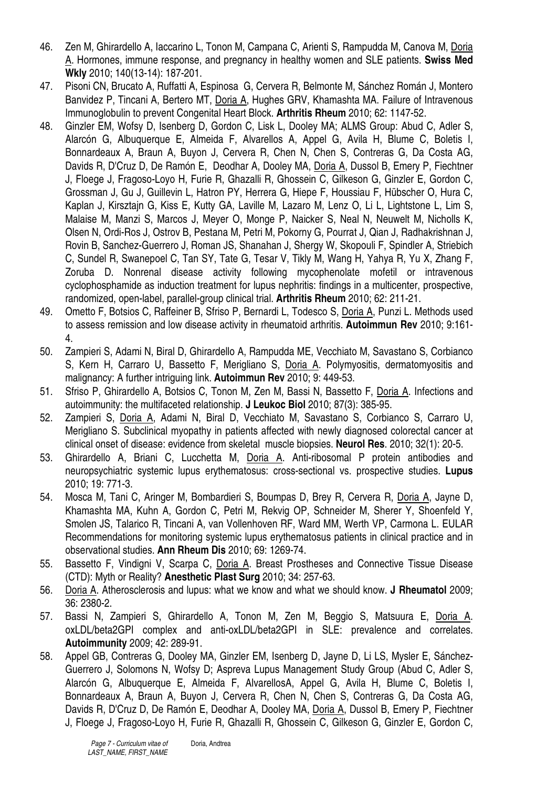- 46. Zen M, Ghirardello A, Iaccarino L, Tonon M, Campana C, Arienti S, Rampudda M, Canova M, Doria A. Hormones, immune response, and pregnancy in healthy women and SLE patients. **Swiss Med Wkly** 2010; 140(13-14): 187-201.
- 47. Pisoni CN, Brucato A, Ruffatti A, Espinosa G, Cervera R, Belmonte M, Sánchez Román J, Montero Banvidez P, Tincani A, Bertero MT, Doria A, Hughes GRV, Khamashta MA. Failure of Intravenous Immunoglobulin to prevent Congenital Heart Block. **Arthritis Rheum** 2010; 62: 1147-52.
- 48. Ginzler EM, Wofsy D, Isenberg D, Gordon C, Lisk L, Dooley MA; ALMS Group: Abud C, Adler S, Alarcón G, Albuquerque E, Almeida F, Alvarellos A, Appel G, Avila H, Blume C, Boletis I, Bonnardeaux A, Braun A, Buyon J, Cervera R, Chen N, Chen S, Contreras G, Da Costa AG, Davids R, D'Cruz D, De Ramón E, Deodhar A, Dooley MA, Doria A, Dussol B, Emery P, Fiechtner J, Floege J, Fragoso-Loyo H, Furie R, Ghazalli R, Ghossein C, Gilkeson G, Ginzler E, Gordon C, Grossman J, Gu J, Guillevin L, Hatron PY, Herrera G, Hiepe F, Houssiau F, Hübscher O, Hura C, Kaplan J, Kirsztajn G, Kiss E, Kutty GA, Laville M, Lazaro M, Lenz O, Li L, Lightstone L, Lim S, Malaise M, Manzi S, Marcos J, Meyer O, Monge P, Naicker S, Neal N, Neuwelt M, Nicholls K, Olsen N, Ordi-Ros J, Ostrov B, Pestana M, Petri M, Pokorny G, Pourrat J, Qian J, Radhakrishnan J, Rovin B, Sanchez-Guerrero J, Roman JS, Shanahan J, Shergy W, Skopouli F, Spindler A, Striebich C, Sundel R, Swanepoel C, Tan SY, Tate G, Tesar V, Tikly M, Wang H, Yahya R, Yu X, Zhang F, Zoruba D. Nonrenal disease activity following mycophenolate mofetil or intravenous cyclophosphamide as induction treatment for lupus nephritis: findings in a multicenter, prospective, randomized, open-label, parallel-group clinical trial. **Arthritis Rheum** 2010; 62: 211-21.
- 49. Ometto F, Botsios C, Raffeiner B, Sfriso P, Bernardi L, Todesco S, Doria A, Punzi L. Methods used to assess remission and low disease activity in rheumatoid arthritis. **Autoimmun Rev** 2010; 9:161- 4.
- 50. Zampieri S, Adami N, Biral D, Ghirardello A, Rampudda ME, Vecchiato M, Savastano S, Corbianco S, Kern H, Carraro U, Bassetto F, Merigliano S, Doria A. Polymyositis, dermatomyositis and malignancy: A further intriguing link. **Autoimmun Rev** 2010; 9: 449-53.
- 51. Sfriso P, Ghirardello A, Botsios C, Tonon M, Zen M, Bassi N, Bassetto F, Doria A. Infections and autoimmunity: the multifaceted relationship. **J Leukoc Biol** 2010; 87(3): 385-95.
- 52. Zampieri S, Doria A, Adami N, Biral D, Vecchiato M, Savastano S, Corbianco S, Carraro U, Merigliano S. Subclinical myopathy in patients affected with newly diagnosed colorectal cancer at clinical onset of disease: evidence from skeletal muscle biopsies. **Neurol Res**. 2010; 32(1): 20-5.
- 53. Ghirardello A, Briani C, Lucchetta M, Doria A. Anti-ribosomal P protein antibodies and neuropsychiatric systemic lupus erythematosus: cross-sectional vs. prospective studies. **Lupus** 2010; 19: 771-3.
- 54. Mosca M, Tani C, Aringer M, Bombardieri S, Boumpas D, Brey R, Cervera R, Doria A, Jayne D, Khamashta MA, Kuhn A, Gordon C, Petri M, Rekvig OP, Schneider M, Sherer Y, Shoenfeld Y, Smolen JS, Talarico R, Tincani A, van Vollenhoven RF, Ward MM, Werth VP, Carmona L. EULAR Recommendations for monitoring systemic lupus erythematosus patients in clinical practice and in observational studies. **Ann Rheum Dis** 2010; 69: 1269-74.
- 55. Bassetto F, Vindigni V, Scarpa C, Doria A. Breast Prostheses and Connective Tissue Disease (CTD): Myth or Reality? **Anesthetic Plast Surg** 2010; 34: 257-63.
- 56. Doria A. Atherosclerosis and lupus: what we know and what we should know. **J Rheumatol** 2009; 36: 2380-2.
- 57. Bassi N, Zampieri S, Ghirardello A, Tonon M, Zen M, Beggio S, Matsuura E, Doria A. oxLDL/beta2GPI complex and anti-oxLDL/beta2GPI in SLE: prevalence and correlates. **Autoimmunity** 2009; 42: 289-91.
- 58. Appel GB, Contreras G, Dooley MA, Ginzler EM, Isenberg D, Jayne D, Li LS, Mysler E, Sánchez-Guerrero J, Solomons N, Wofsy D; Aspreva Lupus Management Study Group (Abud C, Adler S, Alarcón G, Albuquerque E, Almeida F, AlvarellosA, Appel G, Avila H, Blume C, Boletis I, Bonnardeaux A, Braun A, Buyon J, Cervera R, Chen N, Chen S, Contreras G, Da Costa AG, Davids R, D'Cruz D, De Ramón E, Deodhar A, Dooley MA, Doria A, Dussol B, Emery P, Fiechtner J, Floege J, Fragoso-Loyo H, Furie R, Ghazalli R, Ghossein C, Gilkeson G, Ginzler E, Gordon C,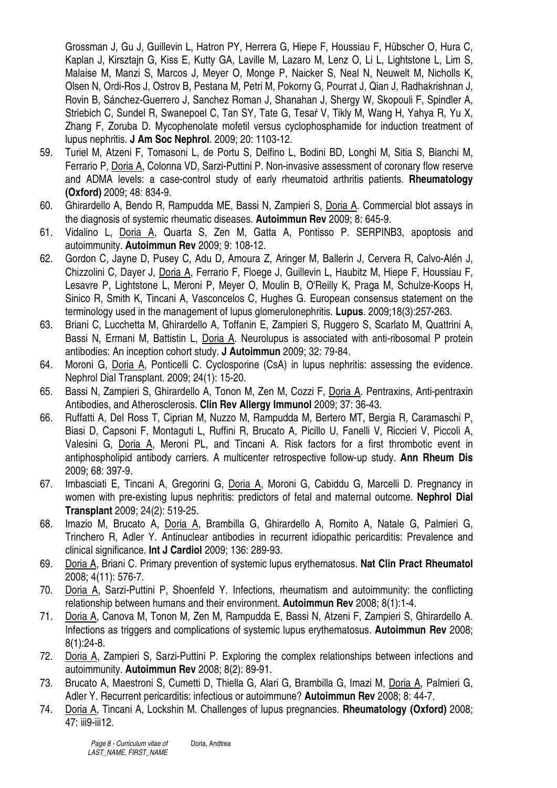Grossman J, Gu J, Guillevin L, Hatron PY, Herrera G, Hiepe F, Houssiau F, Hübscher O, Hura C, Kaplan J, Kirsztajn G, Kiss E, Kutty GA, Laville M, Lazaro M, Lenz O, Li L, Lightstone L, Lim S, Malaise M, Manzi S, Marcos J, Meyer O, Monge P, Naicker S, Neal N, Neuwelt M, Nicholls K, Olsen N, Ordi-Ros J, Ostrov B, Pestana M, Petri M, Pokorny G, Pourrat J, Qian J, Radhakrishnan J, Rovin B, Sánchez-Guerrero J, Sanchez Roman J, Shanahan J, Shergy W, Skopouli F, Spindler A, Striebich C, Sundel R, Swanepoel C, Tan SY, Tate G, Tesaŕ V, Tikly M, Wang H, Yahya R, Yu X, Zhang F, Zoruba D. Mycophenolate mofetil versus cyclophosphamide for induction treatment of lupus nephritis. **J Am Soc Nephrol**. 2009; 20: 1103-12.

- 59. Turiel M, Atzeni F, Tomasoni L, de Portu S, Delfino L, Bodini BD, Longhi M, Sitia S, Bianchi M, Ferrario P, Doria A, Colonna VD, Sarzi-Puttini P. Non-invasive assessment of coronary flow reserve and ADMA levels: a case-control study of early rheumatoid arthritis patients. **Rheumatology (Oxford)** 2009; 48: 834-9.
- 60. Ghirardello A, Bendo R, Rampudda ME, Bassi N, Zampieri S, Doria A. Commercial blot assays in the diagnosis of systemic rheumatic diseases. **Autoimmun Rev** 2009; 8: 645-9.
- 61. Vidalino L, Doria A, Quarta S, Zen M, Gatta A, Pontisso P. SERPINB3, apoptosis and autoimmunity. **Autoimmun Rev** 2009; 9: 108-12.
- 62. Gordon C, Jayne D, Pusey C, Adu D, Amoura Z, Aringer M, Ballerin J, Cervera R, Calvo-Alén J, Chizzolini C, Dayer J, Doria A, Ferrario F, Floege J, Guillevin L, Haubitz M, Hiepe F, Houssiau F, Lesavre P, Lightstone L, Meroni P, Meyer O, Moulin B, O'Reilly K, Praga M, Schulze-Koops H, Sinico R, Smith K, Tincani A, Vasconcelos C, Hughes G. European consensus statement on the terminology used in the management of lupus glomerulonephritis. **Lupus**. 2009;18(3):257-263.
- 63. Briani C, Lucchetta M, Ghirardello A, Toffanin E, Zampieri S, Ruggero S, Scarlato M, Quattrini A, Bassi N, Ermani M, Battistin L, Doria A. Neurolupus is associated with anti-ribosomal P protein antibodies: An inception cohort study. **J Autoimmun** 2009; 32: 79-84.
- 64. Moroni G, Doria A, Ponticelli C. Cyclosporine (CsA) in lupus nephritis: assessing the evidence. Nephrol Dial Transplant. 2009; 24(1): 15-20.
- 65. Bassi N, Zampieri S, Ghirardello A, Tonon M, Zen M, Cozzi F, Doria A. Pentraxins, Anti-pentraxin Antibodies, and Atherosclerosis. **Clin Rev Allergy Immunol** 2009; 37: 36-43.
- 66. Ruffatti A, Del Ross T, Ciprian M, Nuzzo M, Rampudda M, Bertero MT, Bergia R, Caramaschi P, Biasi D, Capsoni F, Montaguti L, Ruffini R, Brucato A, Picillo U, Fanelli V, Riccieri V, Piccoli A, Valesini G, Doria A, Meroni PL, and Tincani A. Risk factors for a first thrombotic event in antiphospholipid antibody carriers. A multicenter retrospective follow-up study. **Ann Rheum Dis** 2009; 68: 397-9.
- 67. Imbasciati E, Tincani A, Gregorini G, Doria A, Moroni G, Cabiddu G, Marcelli D. Pregnancy in women with pre-existing lupus nephritis: predictors of fetal and maternal outcome. **Nephrol Dial Transplant** 2009; 24(2): 519-25.
- 68. Imazio M, Brucato A, Doria A, Brambilla G, Ghirardello A, Romito A, Natale G, Palmieri G, Trinchero R, Adler Y. Antinuclear antibodies in recurrent idiopathic pericarditis: Prevalence and clinical significance. **Int J Cardiol** 2009; 136: 289-93.
- 69. Doria A, Briani C. Primary prevention of systemic lupus erythematosus. **Nat Clin Pract Rheumatol** 2008; 4(11): 576-7.
- 70. Doria A, Sarzi-Puttini P, Shoenfeld Y. Infections, rheumatism and autoimmunity: the conflicting relationship between humans and their environment. **Autoimmun Rev** 2008; 8(1):1-4.
- 71. Doria A, Canova M, Tonon M, Zen M, Rampudda E, Bassi N, Atzeni F, Zampieri S, Ghirardello A. Infections as triggers and complications of systemic lupus erythematosus. **Autoimmun Rev** 2008; 8(1):24-8.
- 72. Doria A, Zampieri S, Sarzi-Puttini P. Exploring the complex relationships between infections and autoimmunity. **Autoimmun Rev** 2008; 8(2): 89-91.
- 73. Brucato A, Maestroni S, Cumetti D, Thiella G, Alari G, Brambilla G, Imazi M, Doria A, Palmieri G, Adler Y. Recurrent pericarditis: infectious or autoimmune? **Autoimmun Rev** 2008; 8: 44-7.
- 74. Doria A, Tincani A, Lockshin M. Challenges of lupus pregnancies. **Rheumatology (Oxford)** 2008; 47: iii9-iii12.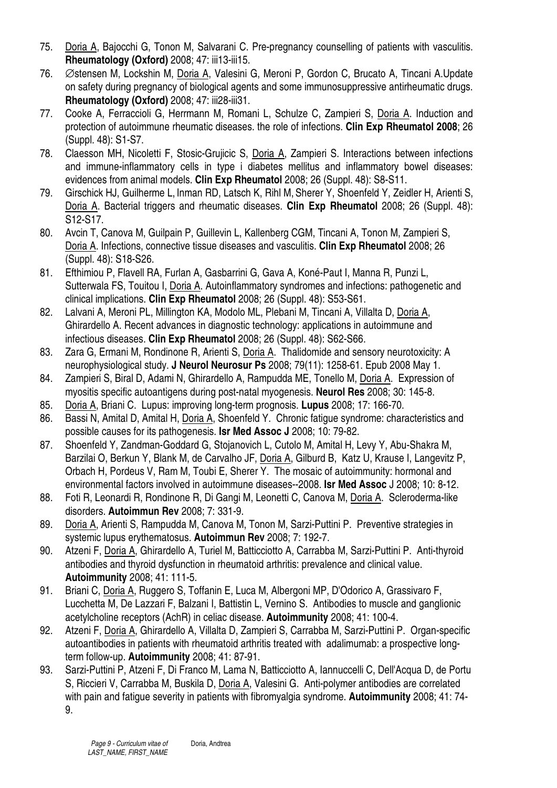- 75. Doria A, Bajocchi G, Tonon M, Salvarani C. Pre-pregnancy counselling of patients with vasculitis. **Rheumatology (Oxford)** 2008; 47: iii13-iii15.
- 76. ∅stensen M, Lockshin M, Doria A, Valesini G, Meroni P, Gordon C, Brucato A, Tincani A.Update on safety during pregnancy of biological agents and some immunosuppressive antirheumatic drugs. **Rheumatology (Oxford)** 2008; 47: iii28-iii31.
- 77. Cooke A, Ferraccioli G, Herrmann M, Romani L, Schulze C, Zampieri S, Doria A. Induction and protection of autoimmune rheumatic diseases. the role of infections. **Clin Exp Rheumatol 2008**; 26 (Suppl. 48): S1-S7.
- 78. Claesson MH, Nicoletti F, Stosic-Grujicic S, Doria A, Zampieri S. Interactions between infections and immune-inflammatory cells in type i diabetes mellitus and inflammatory bowel diseases: evidences from animal models. **Clin Exp Rheumatol** 2008; 26 (Suppl. 48): S8-S11.
- 79. Girschick HJ, Guilherme L, Inman RD, Latsch K, Rihl M, Sherer Y, Shoenfeld Y, Zeidler H, Arienti S, Doria A. Bacterial triggers and rheumatic diseases. **Clin Exp Rheumatol** 2008; 26 (Suppl. 48): S12-S17.
- 80. Avcin T, Canova M, Guilpain P, Guillevin L, Kallenberg CGM, Tincani A, Tonon M, Zampieri S, Doria A. Infections, connective tissue diseases and vasculitis. **Clin Exp Rheumatol** 2008; 26 (Suppl. 48): S18-S26.
- 81. Efthimiou P, Flavell RA, Furlan A, Gasbarrini G, Gava A, Koné-Paut I, Manna R, Punzi L, Sutterwala FS, Touitou I, Doria A. Autoinflammatory syndromes and infections: pathogenetic and clinical implications. **Clin Exp Rheumatol** 2008; 26 (Suppl. 48): S53-S61.
- 82. Lalvani A, Meroni PL, Millington KA, Modolo ML, Plebani M, Tincani A, Villalta D, Doria A, Ghirardello A. Recent advances in diagnostic technology: applications in autoimmune and infectious diseases. **Clin Exp Rheumatol** 2008; 26 (Suppl. 48): S62-S66.
- 83. Zara G, Ermani M, Rondinone R, Arienti S, Doria A. Thalidomide and sensory neurotoxicity: A neurophysiological study. **J Neurol Neurosur Ps** 2008; 79(11): 1258-61. Epub 2008 May 1.
- 84. Zampieri S, Biral D, Adami N, Ghirardello A, Rampudda ME, Tonello M, Doria A. Expression of myositis specific autoantigens during post-natal myogenesis. **Neurol Res** 2008; 30: 145-8.
- 85. Doria A, Briani C. Lupus: improving long-term prognosis. **Lupus** 2008; 17: 166-70.
- 86. Bassi N, Amital D, Amital H, Doria A, Shoenfeld Y. Chronic fatigue syndrome: characteristics and possible causes for its pathogenesis. **Isr Med Assoc J** 2008; 10: 79-82.
- 87. Shoenfeld Y, Zandman-Goddard G, Stojanovich L, Cutolo M, Amital H, Levy Y, Abu-Shakra M, Barzilai O, Berkun Y, Blank M, de Carvalho JF, Doria A, Gilburd B, Katz U, Krause I, Langevitz P, Orbach H, Pordeus V, Ram M, Toubi E, Sherer Y. The mosaic of autoimmunity: hormonal and environmental factors involved in autoimmune diseases--2008. **Isr Med Assoc** J 2008; 10: 8-12.
- 88. Foti R, Leonardi R, Rondinone R, Di Gangi M, Leonetti C, Canova M, Doria A. Scleroderma-like disorders. **Autoimmun Rev** 2008; 7: 331-9.
- 89. Doria A, Arienti S, Rampudda M, Canova M, Tonon M, Sarzi-Puttini P. Preventive strategies in systemic lupus erythematosus. **Autoimmun Rev** 2008; 7: 192-7.
- 90. Atzeni F, Doria A, Ghirardello A, Turiel M, Batticciotto A, Carrabba M, Sarzi-Puttini P. Anti-thyroid antibodies and thyroid dysfunction in rheumatoid arthritis: prevalence and clinical value. **Autoimmunity** 2008; 41: 111-5.
- 91. Briani C, Doria A, Ruggero S, Toffanin E, Luca M, Albergoni MP, D'Odorico A, Grassivaro F, Lucchetta M, De Lazzari F, Balzani I, Battistin L, Vernino S. Antibodies to muscle and ganglionic acetylcholine receptors (AchR) in celiac disease. **Autoimmunity** 2008; 41: 100-4.
- 92. Atzeni F, Doria A, Ghirardello A, Villalta D, Zampieri S, Carrabba M, Sarzi-Puttini P. Organ-specific autoantibodies in patients with rheumatoid arthritis treated with adalimumab: a prospective longterm follow-up. **Autoimmunity** 2008; 41: 87-91.
- 93. Sarzi-Puttini P, Atzeni F, Di Franco M, Lama N, Batticciotto A, Iannuccelli C, Dell'Acqua D, de Portu S, Riccieri V, Carrabba M, Buskila D, Doria A, Valesini G. Anti-polymer antibodies are correlated with pain and fatigue severity in patients with fibromyalgia syndrome. **Autoimmunity** 2008; 41: 74- 9.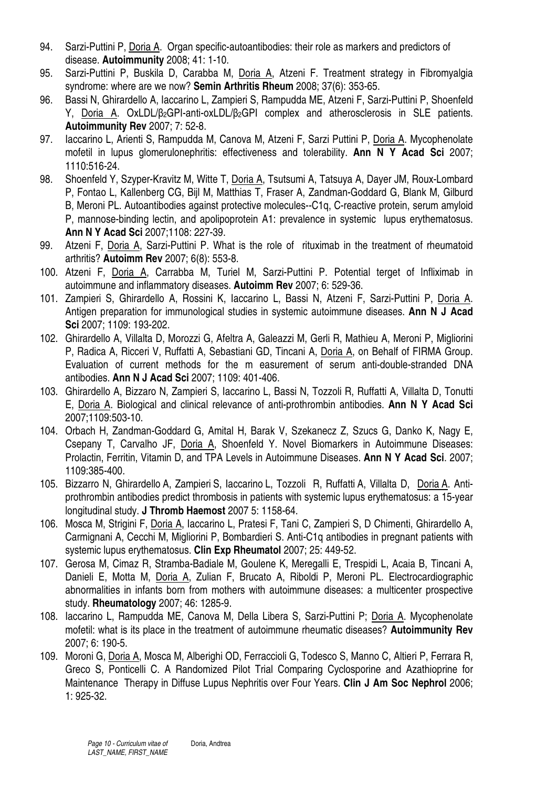- 94. Sarzi-Puttini P, Doria A. Organ specific-autoantibodies: their role as markers and predictors of disease. **Autoimmunity** 2008; 41: 1-10.
- 95. Sarzi-Puttini P, Buskila D, Carabba M, Doria A, Atzeni F. Treatment strategy in Fibromyalgia syndrome: where are we now? **Semin Arthritis Rheum** 2008; 37(6): 353-65.
- 96. Bassi N, Ghirardello A, Iaccarino L, Zampieri S, Rampudda ME, Atzeni F, Sarzi-Puttini P, Shoenfeld Y, Doria A. OxLDL/β2GPI-anti-oxLDL/β2GPI complex and atherosclerosis in SLE patients. **Autoimmunity Rev** 2007; 7: 52-8.
- 97. Iaccarino L, Arienti S, Rampudda M, Canova M, Atzeni F, Sarzi Puttini P, Doria A. Mycophenolate mofetil in lupus glomerulonephritis: effectiveness and tolerability. **Ann N Y Acad Sci** 2007; 1110:516-24.
- 98. Shoenfeld Y, Szyper-Kravitz M, Witte T, Doria A, Tsutsumi A, Tatsuya A, Dayer JM, Roux-Lombard P, Fontao L, Kallenberg CG, Bijl M, Matthias T, Fraser A, Zandman-Goddard G, Blank M, Gilburd B, Meroni PL. Autoantibodies against protective molecules--C1q, C-reactive protein, serum amyloid P, mannose-binding lectin, and apolipoprotein A1: prevalence in systemic lupus erythematosus. **Ann N Y Acad Sci** 2007;1108: 227-39.
- 99. Atzeni F, Doria A, Sarzi-Puttini P. What is the role of rituximab in the treatment of rheumatoid arthritis? **Autoimm Rev** 2007; 6(8): 553-8.
- 100. Atzeni F, Doria A, Carrabba M, Turiel M, Sarzi-Puttini P. Potential terget of Infliximab in autoimmune and inflammatory diseases. **Autoimm Rev** 2007; 6: 529-36.
- 101. Zampieri S, Ghirardello A, Rossini K, Iaccarino L, Bassi N, Atzeni F, Sarzi-Puttini P, Doria A. Antigen preparation for immunological studies in systemic autoimmune diseases. **Ann N J Acad Sci** 2007; 1109: 193-202.
- 102. Ghirardello A, Villalta D, Morozzi G, Afeltra A, Galeazzi M, Gerli R, Mathieu A, Meroni P, Migliorini P, Radica A, Ricceri V, Ruffatti A, Sebastiani GD, Tincani A, Doria A, on Behalf of FIRMA Group. Evaluation of current methods for the m easurement of serum anti-double-stranded DNA antibodies. **Ann N J Acad Sci** 2007; 1109: 401-406.
- 103. Ghirardello A, Bizzaro N, Zampieri S, Iaccarino L, Bassi N, Tozzoli R, Ruffatti A, Villalta D, Tonutti E, Doria A. Biological and clinical relevance of anti-prothrombin antibodies. **Ann N Y Acad Sci** 2007;1109:503-10.
- 104. Orbach H, Zandman-Goddard G, Amital H, Barak V, Szekanecz Z, Szucs G, Danko K, Nagy E, Csepany T, Carvalho JF, Doria A, Shoenfeld Y. Novel Biomarkers in Autoimmune Diseases: Prolactin, Ferritin, Vitamin D, and TPA Levels in Autoimmune Diseases. **Ann N Y Acad Sci**. 2007; 1109:385-400.
- 105. Bizzarro N, Ghirardello A, Zampieri S, Iaccarino L, Tozzoli R, Ruffatti A, Villalta D, Doria A. Antiprothrombin antibodies predict thrombosis in patients with systemic lupus erythematosus: a 15-year longitudinal study. **J Thromb Haemost** 2007 5: 1158-64.
- 106. Mosca M, Strigini F, Doria A, Iaccarino L, Pratesi F, Tani C, Zampieri S, D Chimenti, Ghirardello A, Carmignani A, Cecchi M, Migliorini P, Bombardieri S. Anti-C1q antibodies in pregnant patients with systemic lupus erythematosus. **Clin Exp Rheumatol** 2007; 25: 449-52.
- 107. Gerosa M, Cimaz R, Stramba-Badiale M, Goulene K, Meregalli E, Trespidi L, Acaia B, Tincani A, Danieli E, Motta M, Doria A, Zulian F, Brucato A, Riboldi P, Meroni PL. Electrocardiographic abnormalities in infants born from mothers with autoimmune diseases: a multicenter prospective study. **Rheumatology** 2007; 46: 1285-9.
- 108. Iaccarino L, Rampudda ME, Canova M, Della Libera S, Sarzi-Puttini P; Doria A. Mycophenolate mofetil: what is its place in the treatment of autoimmune rheumatic diseases? **Autoimmunity Rev** 2007; 6: 190-5.
- 109. Moroni G, Doria A, Mosca M, Alberighi OD, Ferraccioli G, Todesco S, Manno C, Altieri P, Ferrara R, Greco S, Ponticelli C. A Randomized Pilot Trial Comparing Cyclosporine and Azathioprine for Maintenance Therapy in Diffuse Lupus Nephritis over Four Years. **Clin J Am Soc Nephrol** 2006; 1: 925-32.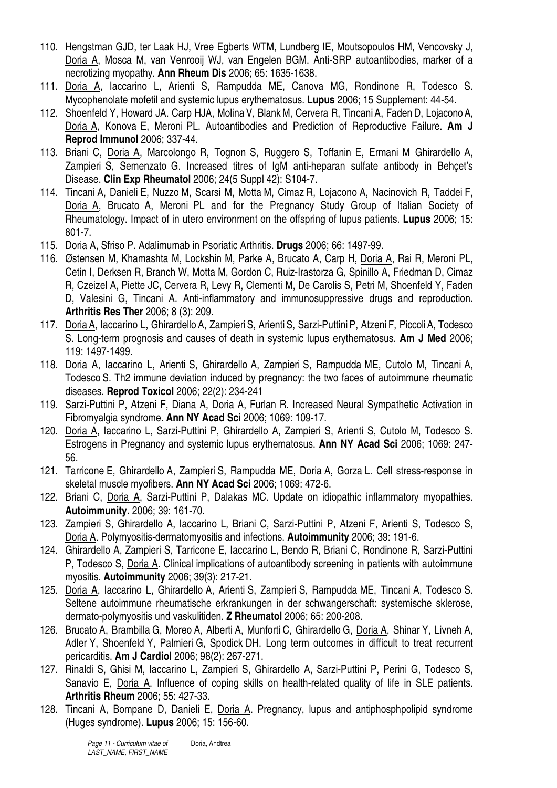- 110. Hengstman GJD, ter Laak HJ, Vree Egberts WTM, Lundberg IE, Moutsopoulos HM, Vencovsky J, Doria A, Mosca M, van Venrooij WJ, van Engelen BGM. Anti-SRP autoantibodies, marker of a necrotizing myopathy. **Ann Rheum Dis** 2006; 65: 1635-1638.
- 111. Doria A, Iaccarino L, Arienti S, Rampudda ME, Canova MG, Rondinone R, Todesco S. Mycophenolate mofetil and systemic lupus erythematosus. **Lupus** 2006; 15 Supplement: 44-54.
- 112. Shoenfeld Y, Howard JA. Carp HJA, Molina V, BlankM, Cervera R, Tincani A, Faden D, LojaconoA, Doria A, Konova E, Meroni PL. Autoantibodies and Prediction of Reproductive Failure. **Am J Reprod Immunol** 2006; 337-44.
- 113. Briani C, Doria A, Marcolongo R, Tognon S, Ruggero S, Toffanin E, Ermani M Ghirardello A, Zampieri S, Semenzato G. Increased titres of IgM anti-heparan sulfate antibody in Behçet's Disease. **Clin Exp Rheumatol** 2006; 24(5 Suppl 42): S104-7.
- 114. Tincani A, Danieli E, Nuzzo M, Scarsi M, Motta M, Cimaz R, Lojacono A, Nacinovich R, Taddei F, Doria A, Brucato A, Meroni PL and for the Pregnancy Study Group of Italian Society of Rheumatology. Impact of in utero environment on the offspring of lupus patients. **Lupus** 2006; 15: 801-7.
- 115. Doria A, Sfriso P. Adalimumab in Psoriatic Arthritis. **Drugs** 2006; 66: 1497-99.
- 116. Østensen M, Khamashta M, Lockshin M, Parke A, Brucato A, Carp H, Doria A, Rai R, Meroni PL, Cetin I, Derksen R, Branch W, Motta M, Gordon C, Ruiz-Irastorza G, Spinillo A, Friedman D, Cimaz R, Czeizel A, Piette JC, Cervera R, Levy R, Clementi M, De Carolis S, Petri M, Shoenfeld Y, Faden D, Valesini G, Tincani A. Anti-inflammatory and immunosuppressive drugs and reproduction. **Arthritis Res Ther** 2006; 8 (3): 209.
- 117. Doria A, Iaccarino L, Ghirardello A, Zampieri S, Arienti S, Sarzi-Puttini P, Atzeni F, Piccoli A, Todesco S. Long-term prognosis and causes of death in systemic lupus erythematosus. **Am J Med** 2006; 119: 1497-1499.
- 118. Doria A, Iaccarino L, Arienti S, Ghirardello A, Zampieri S, Rampudda ME, Cutolo M, Tincani A, Todesco S. Th2 immune deviation induced by pregnancy: the two faces of autoimmune rheumatic diseases. **Reprod Toxicol** 2006; 22(2): 234-241
- 119. Sarzi-Puttini P, Atzeni F, Diana A, Doria A, Furlan R. Increased Neural Sympathetic Activation in Fibromyalgia syndrome. **Ann NY Acad Sci** 2006; 1069: 109-17.
- 120. Doria A, Iaccarino L, Sarzi-Puttini P, Ghirardello A, Zampieri S, Arienti S, Cutolo M, Todesco S. Estrogens in Pregnancy and systemic lupus erythematosus. **Ann NY Acad Sci** 2006; 1069: 247- 56.
- 121. Tarricone E, Ghirardello A, Zampieri S, Rampudda ME, Doria A, Gorza L. Cell stress-response in skeletal muscle myofibers. **Ann NY Acad Sci** 2006; 1069: 472-6.
- 122. Briani C, Doria A, Sarzi-Puttini P, Dalakas MC. Update on idiopathic inflammatory myopathies. **Autoimmunity.** 2006; 39: 161-70.
- 123. Zampieri S, Ghirardello A, Iaccarino L, Briani C, Sarzi-Puttini P, Atzeni F, Arienti S, Todesco S, Doria A. Polymyositis-dermatomyositis and infections. **Autoimmunity** 2006; 39: 191-6.
- 124. Ghirardello A, Zampieri S, Tarricone E, Iaccarino L, Bendo R, Briani C, Rondinone R, Sarzi-Puttini P, Todesco S, Doria A. Clinical implications of autoantibody screening in patients with autoimmune myositis. **Autoimmunity** 2006; 39(3): 217-21.
- 125. Doria A, Iaccarino L, Ghirardello A, Arienti S, Zampieri S, Rampudda ME, Tincani A, Todesco S. Seltene autoimmune rheumatische erkrankungen in der schwangerschaft: systemische sklerose, dermato-polymyositis und vaskulitiden. **Z Rheumatol** 2006; 65: 200-208.
- 126. Brucato A, Brambilla G, Moreo A, Alberti A, Munforti C, Ghirardello G, Doria A, Shinar Y, Livneh A, Adler Y, Shoenfeld Y, Palmieri G, Spodick DH. Long term outcomes in difficult to treat recurrent pericarditis. **Am J Cardiol** 2006; 98(2): 267-271.
- 127. Rinaldi S, Ghisi M, Iaccarino L, Zampieri S, Ghirardello A, Sarzi-Puttini P, Perini G, Todesco S, Sanavio E, Doria A. Influence of coping skills on health-related quality of life in SLE patients. **Arthritis Rheum** 2006; 55: 427-33.
- 128. Tincani A, Bompane D, Danieli E, Doria A. Pregnancy, lupus and antiphosphpolipid syndrome (Huges syndrome). **Lupus** 2006; 15: 156-60.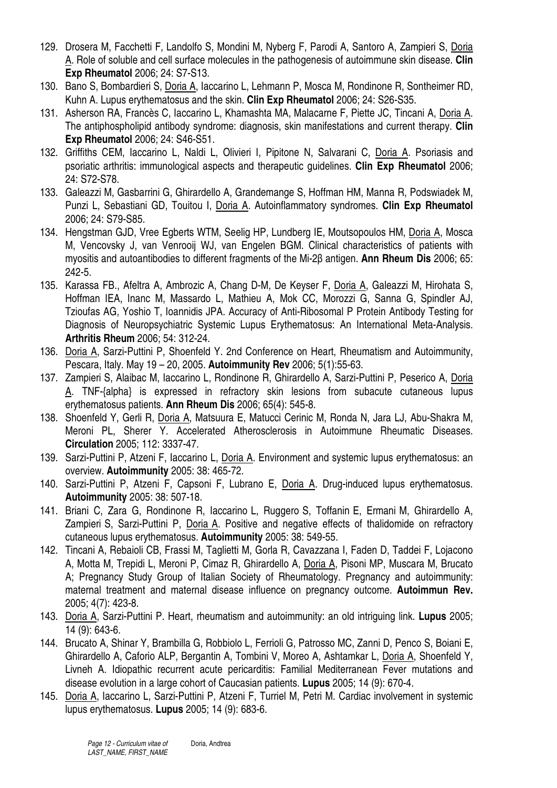- 129. Drosera M, Facchetti F, Landolfo S, Mondini M, Nyberg F, Parodi A, Santoro A, Zampieri S, Doria A. Role of soluble and cell surface molecules in the pathogenesis of autoimmune skin disease. **Clin Exp Rheumatol** 2006; 24: S7-S13.
- 130. Bano S, Bombardieri S, Doria A, Iaccarino L, Lehmann P, Mosca M, Rondinone R, Sontheimer RD, Kuhn A. Lupus erythematosus and the skin. **Clin Exp Rheumatol** 2006; 24: S26-S35.
- 131. Asherson RA, Francès C, Iaccarino L, Khamashta MA, Malacarne F, Piette JC, Tincani A, Doria A. The antiphospholipid antibody syndrome: diagnosis, skin manifestations and current therapy. **Clin Exp Rheumatol** 2006; 24: S46-S51.
- 132. Griffiths CEM, Iaccarino L, Naldi L, Olivieri I, Pipitone N, Salvarani C, Doria A. Psoriasis and psoriatic arthritis: immunological aspects and therapeutic guidelines. **Clin Exp Rheumatol** 2006; 24: S72-S78.
- 133. Galeazzi M, Gasbarrini G, Ghirardello A, Grandemange S, Hoffman HM, Manna R, Podswiadek M, Punzi L, Sebastiani GD, Touitou I, Doria A. Autoinflammatory syndromes. **Clin Exp Rheumatol**  2006; 24: S79-S85.
- 134. Hengstman GJD, Vree Egberts WTM, Seelig HP, Lundberg IE, Moutsopoulos HM, Doria A, Mosca M, Vencovsky J, van Venrooij WJ, van Engelen BGM. Clinical characteristics of patients with myositis and autoantibodies to different fragments of the Mi-2β antigen. **Ann Rheum Dis** 2006; 65: 242-5.
- 135. Karassa FB., Afeltra A, Ambrozic A, Chang D-M, De Keyser F, Doria A, Galeazzi M, Hirohata S, Hoffman IEA, Inanc M, Massardo L, Mathieu A, Mok CC, Morozzi G, Sanna G, Spindler AJ, Tzioufas AG, Yoshio T, Ioannidis JPA. Accuracy of Anti-Ribosomal P Protein Antibody Testing for Diagnosis of Neuropsychiatric Systemic Lupus Erythematosus: An International Meta-Analysis. **Arthritis Rheum** 2006; 54: 312-24.
- 136. Doria A, Sarzi-Puttini P, Shoenfeld Y. 2nd Conference on Heart, Rheumatism and Autoimmunity, Pescara, Italy. May 19 – 20, 2005. **Autoimmunity Rev** 2006; 5(1):55-63.
- 137. Zampieri S, Alaibac M, Iaccarino L, Rondinone R, Ghirardello A, Sarzi-Puttini P, Peserico A, Doria A. TNF-{alpha} is expressed in refractory skin lesions from subacute cutaneous lupus erythematosus patients. **Ann Rheum Dis** 2006; 65(4): 545-8.
- 138. Shoenfeld Y, Gerli R, Doria A, Matsuura E, Matucci Cerinic M, Ronda N, Jara LJ, Abu-Shakra M, Meroni PL, Sherer Y. Accelerated Atherosclerosis in Autoimmune Rheumatic Diseases. **Circulation** 2005; 112: 3337-47.
- 139. Sarzi-Puttini P, Atzeni F, Iaccarino L, Doria A. Environment and systemic lupus erythematosus: an overview. **Autoimmunity** 2005: 38: 465-72.
- 140. Sarzi-Puttini P, Atzeni F, Capsoni F, Lubrano E, Doria A. Drug-induced lupus erythematosus. **Autoimmunity** 2005: 38: 507-18.
- 141. Briani C, Zara G, Rondinone R, Iaccarino L, Ruggero S, Toffanin E, Ermani M, Ghirardello A, Zampieri S, Sarzi-Puttini P, Doria A. Positive and negative effects of thalidomide on refractory cutaneous lupus erythematosus. **Autoimmunity** 2005: 38: 549-55.
- 142. Tincani A, Rebaioli CB, Frassi M, Taglietti M, Gorla R, Cavazzana I, Faden D, Taddei F, Lojacono A, Motta M, Trepidi L, Meroni P, Cimaz R, Ghirardello A, Doria A, Pisoni MP, Muscara M, Brucato A; Pregnancy Study Group of Italian Society of Rheumatology. Pregnancy and autoimmunity: maternal treatment and maternal disease influence on pregnancy outcome. **Autoimmun Rev.** 2005; 4(7): 423-8.
- 143. Doria A, Sarzi-Puttini P. Heart, rheumatism and autoimmunity: an old intriguing link. **Lupus** 2005; 14 (9): 643-6.
- 144. Brucato A, Shinar Y, Brambilla G, Robbiolo L, Ferrioli G, Patrosso MC, Zanni D, Penco S, Boiani E, Ghirardello A, Caforio ALP, Bergantin A, Tombini V, Moreo A, Ashtamkar L, Doria A, Shoenfeld Y, Livneh A. Idiopathic recurrent acute pericarditis: Familial Mediterranean Fever mutations and disease evolution in a large cohort of Caucasian patients. **Lupus** 2005; 14 (9): 670-4.
- 145. Doria A, Iaccarino L, Sarzi-Puttini P, Atzeni F, Turriel M, Petri M. Cardiac involvement in systemic lupus erythematosus. **Lupus** 2005; 14 (9): 683-6.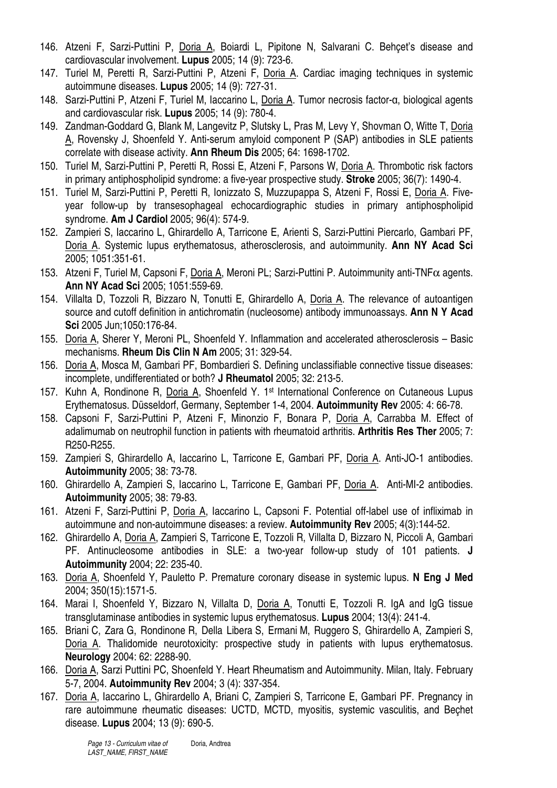- 146. Atzeni F, Sarzi-Puttini P, Doria A, Boiardi L, Pipitone N, Salvarani C. Behçet's disease and cardiovascular involvement. **Lupus** 2005; 14 (9): 723-6.
- 147. Turiel M, Peretti R, Sarzi-Puttini P, Atzeni F, Doria A. Cardiac imaging techniques in systemic autoimmune diseases. **Lupus** 2005; 14 (9): 727-31.
- 148. Sarzi-Puttini P, Atzeni F, Turiel M, Iaccarino L, Doria A. Tumor necrosis factor-α, biological agents and cardiovascular risk. **Lupus** 2005; 14 (9): 780-4.
- 149. Zandman-Goddard G, Blank M, Langevitz P, Slutsky L, Pras M, Levy Y, Shovman O, Witte T, Doria A, Rovensky J, Shoenfeld Y. Anti-serum amyloid component P (SAP) antibodies in SLE patients correlate with disease activity. **Ann Rheum Dis** 2005; 64: 1698-1702.
- 150. Turiel M, Sarzi-Puttini P, Peretti R, Rossi E, Atzeni F, Parsons W, Doria A. Thrombotic risk factors in primary antiphospholipid syndrome: a five-year prospective study. **Stroke** 2005; 36(7): 1490-4.
- 151. Turiel M, Sarzi-Puttini P, Peretti R, Ionizzato S, Muzzupappa S, Atzeni F, Rossi E, Doria A. Fiveyear follow-up by transesophageal echocardiographic studies in primary antiphospholipid syndrome. **Am J Cardiol** 2005; 96(4): 574-9.
- 152. Zampieri S, Iaccarino L, Ghirardello A, Tarricone E, Arienti S, Sarzi-Puttini Piercarlo, Gambari PF, Doria A. Systemic lupus erythematosus, atherosclerosis, and autoimmunity. **Ann NY Acad Sci** 2005; 1051:351-61.
- 153. Atzeni F, Turiel M, Capsoni F, Doria A, Meroni PL; Sarzi-Puttini P. Autoimmunity anti-TNFα agents. **Ann NY Acad Sci** 2005; 1051:559-69.
- 154. Villalta D, Tozzoli R, Bizzaro N, Tonutti E, Ghirardello A, Doria A. The relevance of autoantigen source and cutoff definition in antichromatin (nucleosome) antibody immunoassays. **Ann N Y Acad Sci** 2005 Jun;1050:176-84.
- 155. Doria A, Sherer Y, Meroni PL, Shoenfeld Y. Inflammation and accelerated atherosclerosis Basic mechanisms. **Rheum Dis Clin N Am** 2005; 31: 329-54.
- 156. Doria A, Mosca M, Gambari PF, Bombardieri S. Defining unclassifiable connective tissue diseases: incomplete, undifferentiated or both? **J Rheumatol** 2005; 32: 213-5.
- 157. Kuhn A, Rondinone R, Doria A, Shoenfeld Y. 1st International Conference on Cutaneous Lupus Erythematosus. Düsseldorf, Germany, September 1-4, 2004. **Autoimmunity Rev** 2005: 4: 66-78.
- 158. Capsoni F, Sarzi-Puttini P, Atzeni F, Minonzio F, Bonara P, Doria A, Carrabba M. Effect of adalimumab on neutrophil function in patients with rheumatoid arthritis. **Arthritis Res Ther** 2005; 7: R250-R255.
- 159. Zampieri S, Ghirardello A, Iaccarino L, Tarricone E, Gambari PF, Doria A. Anti-JO-1 antibodies. **Autoimmunity** 2005; 38: 73-78.
- 160. Ghirardello A, Zampieri S, Iaccarino L, Tarricone E, Gambari PF, Doria A. Anti-MI-2 antibodies. **Autoimmunity** 2005; 38: 79-83.
- 161. Atzeni F, Sarzi-Puttini P, Doria A, Iaccarino L, Capsoni F. Potential off-label use of infliximab in autoimmune and non-autoimmune diseases: a review. **Autoimmunity Rev** 2005; 4(3):144-52.
- 162. Ghirardello A, Doria A, Zampieri S, Tarricone E, Tozzoli R, Villalta D, Bizzaro N, Piccoli A, Gambari PF. Antinucleosome antibodies in SLE: a two-year follow-up study of 101 patients. **J Autoimmunity** 2004; 22: 235-40.
- 163. Doria A, Shoenfeld Y, Pauletto P. Premature coronary disease in systemic lupus. **N Eng J Med** 2004; 350(15):1571-5.
- 164. Marai I, Shoenfeld Y, Bizzaro N, Villalta D, Doria A, Tonutti E, Tozzoli R. IgA and IgG tissue transglutaminase antibodies in systemic lupus erythematosus. **Lupus** 2004; 13(4): 241-4.
- 165. Briani C, Zara G, Rondinone R, Della Libera S, Ermani M, Ruggero S, Ghirardello A, Zampieri S, Doria A. Thalidomide neurotoxicity: prospective study in patients with lupus erythematosus. **Neurology** 2004: 62: 2288-90.
- 166. Doria A, Sarzi Puttini PC, Shoenfeld Y. Heart Rheumatism and Autoimmunity. Milan, Italy. February 5-7, 2004. **Autoimmunity Rev** 2004; 3 (4): 337-354.
- 167. Doria A, Iaccarino L, Ghirardello A, Briani C, Zampieri S, Tarricone E, Gambari PF. Pregnancy in rare autoimmune rheumatic diseases: UCTD, MCTD, myositis, systemic vasculitis, and Beçhet disease. **Lupus** 2004; 13 (9): 690-5.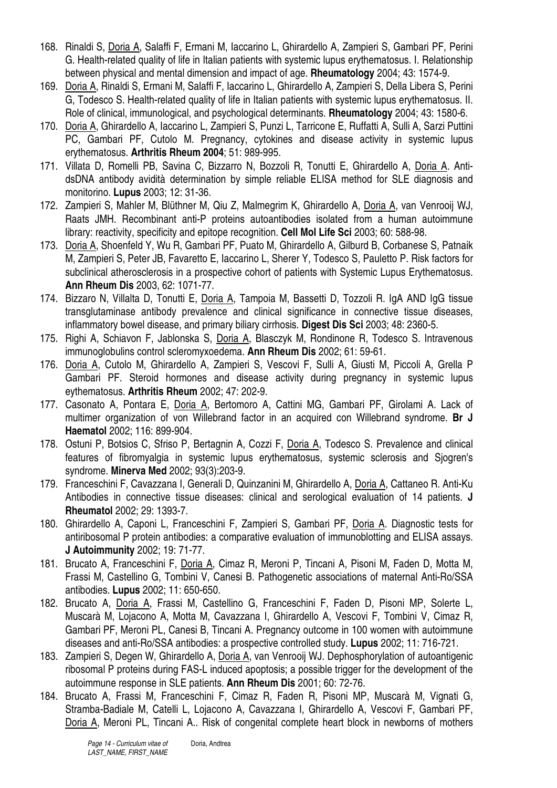- 168. Rinaldi S, Doria A, Salaffi F, Ermani M, Iaccarino L, Ghirardello A, Zampieri S, Gambari PF, Perini G. Health-related quality of life in Italian patients with systemic lupus erythematosus. I. Relationship between physical and mental dimension and impact of age. **Rheumatology** 2004; 43: 1574-9.
- 169. Doria A, Rinaldi S, Ermani M, Salaffi F, Iaccarino L, Ghirardello A, Zampieri S, Della Libera S, Perini G, Todesco S. Health-related quality of life in Italian patients with systemic lupus erythematosus. II. Role of clinical, immunological, and psychological determinants. **Rheumatology** 2004; 43: 1580-6.
- 170. Doria A, Ghirardello A, Iaccarino L, Zampieri S, Punzi L, Tarricone E, Ruffatti A, Sulli A, Sarzi Puttini PC, Gambari PF, Cutolo M. Pregnancy, cytokines and disease activity in systemic lupus erythematosus. **Arthritis Rheum 2004**; 51: 989-995.
- 171. Villata D, Romelli PB, Savina C, Bizzarro N, Bozzoli R, Tonutti E, Ghirardello A, Doria A. AntidsDNA antibody avidità determination by simple reliable ELISA method for SLE diagnosis and monitorino. **Lupus** 2003; 12: 31-36.
- 172. Zampieri S, Mahler M, Blüthner M, Qiu Z, Malmegrim K, Ghirardello A, Doria A, van Venrooij WJ, Raats JMH. Recombinant anti-P proteins autoantibodies isolated from a human autoimmune library: reactivity, specificity and epitope recognition. **Cell Mol Life Sci** 2003; 60: 588-98.
- 173. Doria A, Shoenfeld Y, Wu R, Gambari PF, Puato M, Ghirardello A, Gilburd B, Corbanese S, Patnaik M, Zampieri S, Peter JB, Favaretto E, Iaccarino L, Sherer Y, Todesco S, Pauletto P. Risk factors for subclinical atherosclerosis in a prospective cohort of patients with Systemic Lupus Erythematosus. **Ann Rheum Dis** 2003, 62: 1071-77.
- 174. Bizzaro N, Villalta D, Tonutti E, Doria A, Tampoia M, Bassetti D, Tozzoli R. IgA AND IgG tissue transglutaminase antibody prevalence and clinical significance in connective tissue diseases, inflammatory bowel disease, and primary biliary cirrhosis. **Digest Dis Sci** 2003; 48: 2360-5.
- 175. Righi A, Schiavon F, Jablonska S, Doria A, Blasczyk M, Rondinone R, Todesco S. Intravenous immunoglobulins control scleromyxoedema. **Ann Rheum Dis** 2002; 61: 59-61.
- 176. Doria A, Cutolo M, Ghirardello A, Zampieri S, Vescovi F, Sulli A, Giusti M, Piccoli A, Grella P Gambari PF. Steroid hormones and disease activity during pregnancy in systemic lupus eythematosus. **Arthritis Rheum** 2002; 47: 202-9.
- 177. Casonato A, Pontara E, Doria A, Bertomoro A, Cattini MG, Gambari PF, Girolami A. Lack of multimer organization of von Willebrand factor in an acquired con Willebrand syndrome. **Br J Haematol** 2002; 116: 899-904.
- 178. Ostuni P, Botsios C, Sfriso P, Bertagnin A, Cozzi F, Doria A, Todesco S. Prevalence and clinical features of fibromyalgia in systemic lupus erythematosus, systemic sclerosis and Sjogren's syndrome. **Minerva Med** 2002; 93(3):203-9.
- 179. Franceschini F, Cavazzana I, Generali D, Quinzanini M, Ghirardello A, Doria A, Cattaneo R. Anti-Ku Antibodies in connective tissue diseases: clinical and serological evaluation of 14 patients. **J Rheumatol** 2002; 29: 1393-7.
- 180. Ghirardello A, Caponi L, Franceschini F, Zampieri S, Gambari PF, Doria A. Diagnostic tests for antiribosomal P protein antibodies: a comparative evaluation of immunoblotting and ELISA assays. **J Autoimmunity** 2002; 19: 71-77.
- 181. Brucato A, Franceschini F, Doria A, Cimaz R, Meroni P, Tincani A, Pisoni M, Faden D, Motta M, Frassi M, Castellino G, Tombini V, Canesi B. Pathogenetic associations of maternal Anti-Ro/SSA antibodies. **Lupus** 2002; 11: 650-650.
- 182. Brucato A, Doria A, Frassi M, Castellino G, Franceschini F, Faden D, Pisoni MP, Solerte L, Muscarà M, Lojacono A, Motta M, Cavazzana I, Ghirardello A, Vescovi F, Tombini V, Cimaz R, Gambari PF, Meroni PL, Canesi B, Tincani A. Pregnancy outcome in 100 women with autoimmune diseases and anti-Ro/SSA antibodies: a prospective controlled study. **Lupus** 2002; 11: 716-721.
- 183. Zampieri S, Degen W, Ghirardello A, Doria A, van Venrooij WJ. Dephosphorylation of autoantigenic ribosomal P proteins during FAS-L induced apoptosis; a possible trigger for the development of the autoimmune response in SLE patients. **Ann Rheum Dis** 2001; 60: 72-76.
- 184. Brucato A, Frassi M, Franceschini F, Cimaz R, Faden R, Pisoni MP, Muscarà M, Vignati G, Stramba-Badiale M, Catelli L, Lojacono A, Cavazzana I, Ghirardello A, Vescovi F, Gambari PF, Doria A, Meroni PL, Tincani A.. Risk of congenital complete heart block in newborns of mothers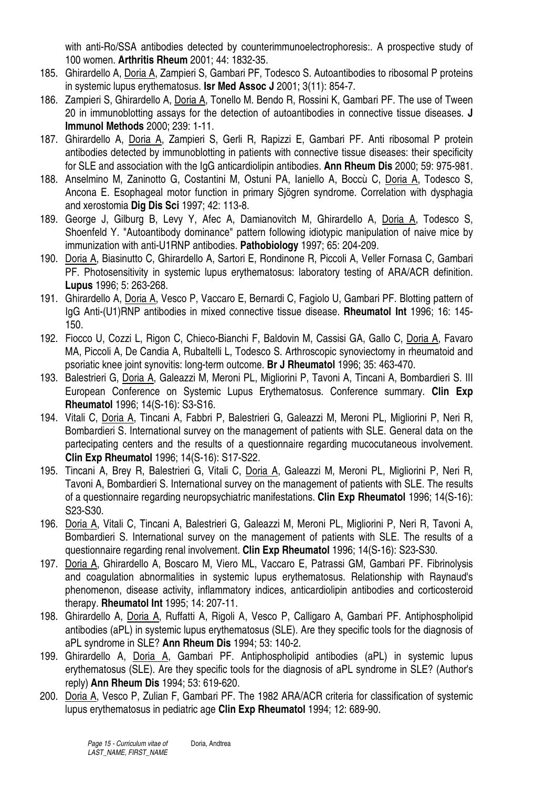with anti-Ro/SSA antibodies detected by counterimmunoelectrophoresis:. A prospective study of 100 women. **Arthritis Rheum** 2001; 44: 1832-35.

- 185. Ghirardello A, Doria A, Zampieri S, Gambari PF, Todesco S. Autoantibodies to ribosomal P proteins in systemic lupus erythematosus. **Isr Med Assoc J** 2001; 3(11): 854-7.
- 186. Zampieri S, Ghirardello A, Doria A, Tonello M. Bendo R, Rossini K, Gambari PF. The use of Tween 20 in immunoblotting assays for the detection of autoantibodies in connective tissue diseases. **J Immunol Methods** 2000; 239: 1-11.
- 187. Ghirardello A, Doria A, Zampieri S, Gerli R, Rapizzi E, Gambari PF. Anti ribosomal P protein antibodies detected by immunoblotting in patients with connective tissue diseases: their specificity for SLE and association with the IgG anticardiolipin antibodies. **Ann Rheum Dis** 2000; 59: 975-981.
- 188. Anselmino M, Zaninotto G, Costantini M, Ostuni PA, Ianiello A, Boccù C, Doria A, Todesco S, Ancona E. Esophageal motor function in primary Sjögren syndrome. Correlation with dysphagia and xerostomia **Dig Dis Sci** 1997; 42: 113-8.
- 189. George J, Gilburg B, Levy Y, Afec A, Damianovitch M, Ghirardello A, Doria A, Todesco S, Shoenfeld Y. "Autoantibody dominance" pattern following idiotypic manipulation of naive mice by immunization with anti-U1RNP antibodies. **Pathobiology** 1997; 65: 204-209.
- 190. Doria A, Biasinutto C, Ghirardello A, Sartori E, Rondinone R, Piccoli A, Veller Fornasa C, Gambari PF. Photosensitivity in systemic lupus erythematosus: laboratory testing of ARA/ACR definition. **Lupus** 1996; 5: 263-268.
- 191. Ghirardello A, Doria A, Vesco P, Vaccaro E, Bernardi C, Fagiolo U, Gambari PF. Blotting pattern of IgG Anti-(U1)RNP antibodies in mixed connective tissue disease. **Rheumatol Int** 1996; 16: 145- 150.
- 192. Fiocco U, Cozzi L, Rigon C, Chieco-Bianchi F, Baldovin M, Cassisi GA, Gallo C, Doria A, Favaro MA, Piccoli A, De Candia A, Rubaltelli L, Todesco S. Arthroscopic synoviectomy in rheumatoid and psoriatic knee joint synovitis: long-term outcome. **Br J Rheumatol** 1996; 35: 463-470.
- 193. Balestrieri G, Doria A, Galeazzi M, Meroni PL, Migliorini P, Tavoni A, Tincani A, Bombardieri S. III European Conference on Systemic Lupus Erythematosus. Conference summary. **Clin Exp Rheumatol** 1996; 14(S-16): S3-S16.
- 194. Vitali C, Doria A, Tincani A, Fabbri P, Balestrieri G, Galeazzi M, Meroni PL, Migliorini P, Neri R, Bombardieri S. International survey on the management of patients with SLE. General data on the partecipating centers and the results of a questionnaire regarding mucocutaneous involvement. **Clin Exp Rheumatol** 1996; 14(S-16): S17-S22.
- 195. Tincani A, Brey R, Balestrieri G, Vitali C, Doria A, Galeazzi M, Meroni PL, Migliorini P, Neri R, Tavoni A, Bombardieri S. International survey on the management of patients with SLE. The results of a questionnaire regarding neuropsychiatric manifestations. **Clin Exp Rheumatol** 1996; 14(S-16): S23-S30.
- 196. Doria A, Vitali C, Tincani A, Balestrieri G, Galeazzi M, Meroni PL, Migliorini P, Neri R, Tavoni A, Bombardieri S. International survey on the management of patients with SLE. The results of a questionnaire regarding renal involvement. **Clin Exp Rheumatol** 1996; 14(S-16): S23-S30.
- 197. Doria A, Ghirardello A, Boscaro M, Viero ML, Vaccaro E, Patrassi GM, Gambari PF. Fibrinolysis and coagulation abnormalities in systemic lupus erythematosus. Relationship with Raynaud's phenomenon, disease activity, inflammatory indices, anticardiolipin antibodies and corticosteroid therapy. **Rheumatol Int** 1995; 14: 207-11.
- 198. Ghirardello A, Doria A, Ruffatti A, Rigoli A, Vesco P, Calligaro A, Gambari PF. Antiphospholipid antibodies (aPL) in systemic lupus erythematosus (SLE). Are they specific tools for the diagnosis of aPL syndrome in SLE? **Ann Rheum Dis** 1994; 53: 140-2.
- 199. Ghirardello A, Doria A, Gambari PF. Antiphospholipid antibodies (aPL) in systemic lupus erythematosus (SLE). Are they specific tools for the diagnosis of aPL syndrome in SLE? (Author's reply) **Ann Rheum Dis** 1994; 53: 619-620.
- 200. Doria A, Vesco P, Zulian F, Gambari PF. The 1982 ARA/ACR criteria for classification of systemic lupus erythematosus in pediatric age **Clin Exp Rheumatol** 1994; 12: 689-90.